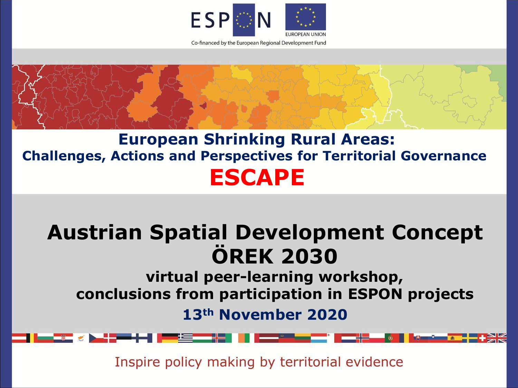



# **Austrian Spatial Development Concept ÖREK 2030**

**virtual peer-learning workshop, conclusions from participation in ESPON projects**

**13th November 2020**

Inspire policy making by territorial evidence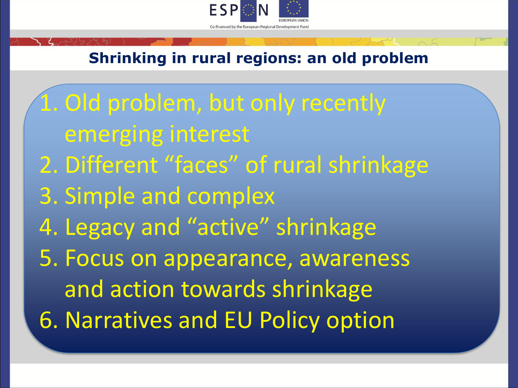

## **Shrinking in rural regions: an old problem**

1. Old problem, but only recently emerging interest 2. Different "faces" of rural shrinkage 3. Simple and complex 4. Legacy and "active" shrinkage 5. Focus on appearance, awareness and action towards shrinkage 6. Narratives and EU Policy option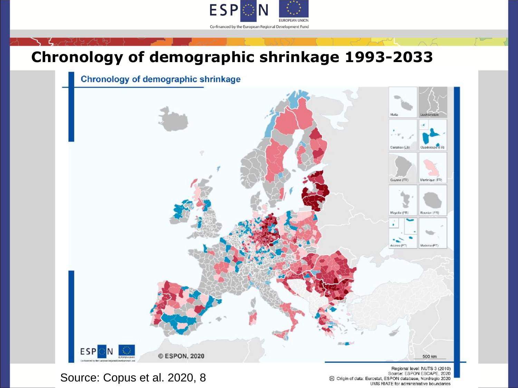

## **Chronology of demographic shrinkage 1993-2033**

Chronology of demographic shrinkage



Source: Copus et al. 2020, 8

Regional level: NUTS 3 (2010) Source: ESPON ESCAPE, 2020 @ Origin of data: Eurostat, ESPON database, Nordregio 2020 UMS RIATE for administrative boundaries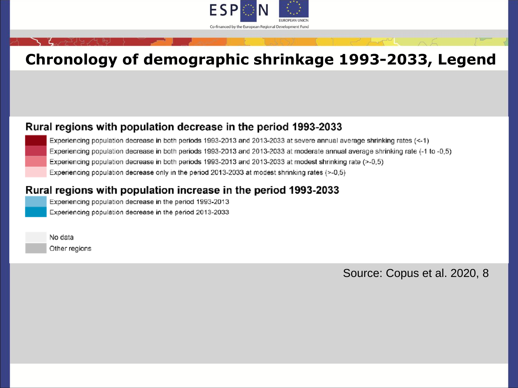

## **Chronology of demographic shrinkage 1993-2033, Legend**

#### Rural regions with population decrease in the period 1993-2033

Experiencing population decrease in both periods 1993-2013 and 2013-2033 at severe annual average shrinking rates (<-1) Experiencing population decrease in both periods 1993-2013 and 2013-2033 at moderate annual average shrinking rate (-1 to -0,5) Experiencing population decrease in both periods 1993-2013 and 2013-2033 at modest shrinking rate (>-0,5) Experiencing population decrease only in the period 2013-2033 at modest shrinking rates (>-0,5)

#### Rural regions with population increase in the period 1993-2033

Experiencing population decrease in the period 1993-2013 Experiencing population decrease in the period 2013-2033

No data Other regions

Source: Copus et al. 2020, 8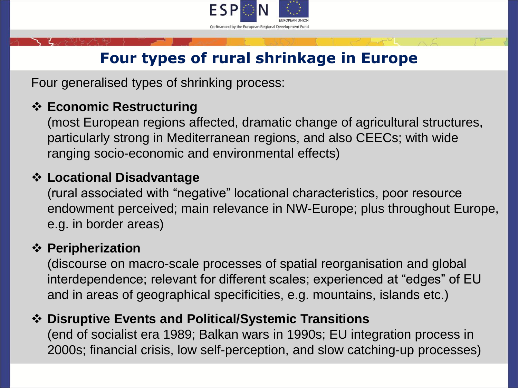

## **Four types of rural shrinkage in Europe**

Four generalised types of shrinking process:

### ❖ **Economic Restructuring**

(most European regions affected, dramatic change of agricultural structures, particularly strong in Mediterranean regions, and also CEECs; with wide ranging socio-economic and environmental effects)

## ❖ **Locational Disadvantage**

(rural associated with "negative" locational characteristics, poor resource endowment perceived; main relevance in NW-Europe; plus throughout Europe, e.g. in border areas)

#### ❖ **Peripherization**

(discourse on macro-scale processes of spatial reorganisation and global interdependence; relevant for different scales; experienced at "edges" of EU and in areas of geographical specificities, e.g. mountains, islands etc.)

### ❖ **Disruptive Events and Political/Systemic Transitions**

(end of socialist era 1989; Balkan wars in 1990s; EU integration process in 2000s; financial crisis, low self-perception, and slow catching-up processes)